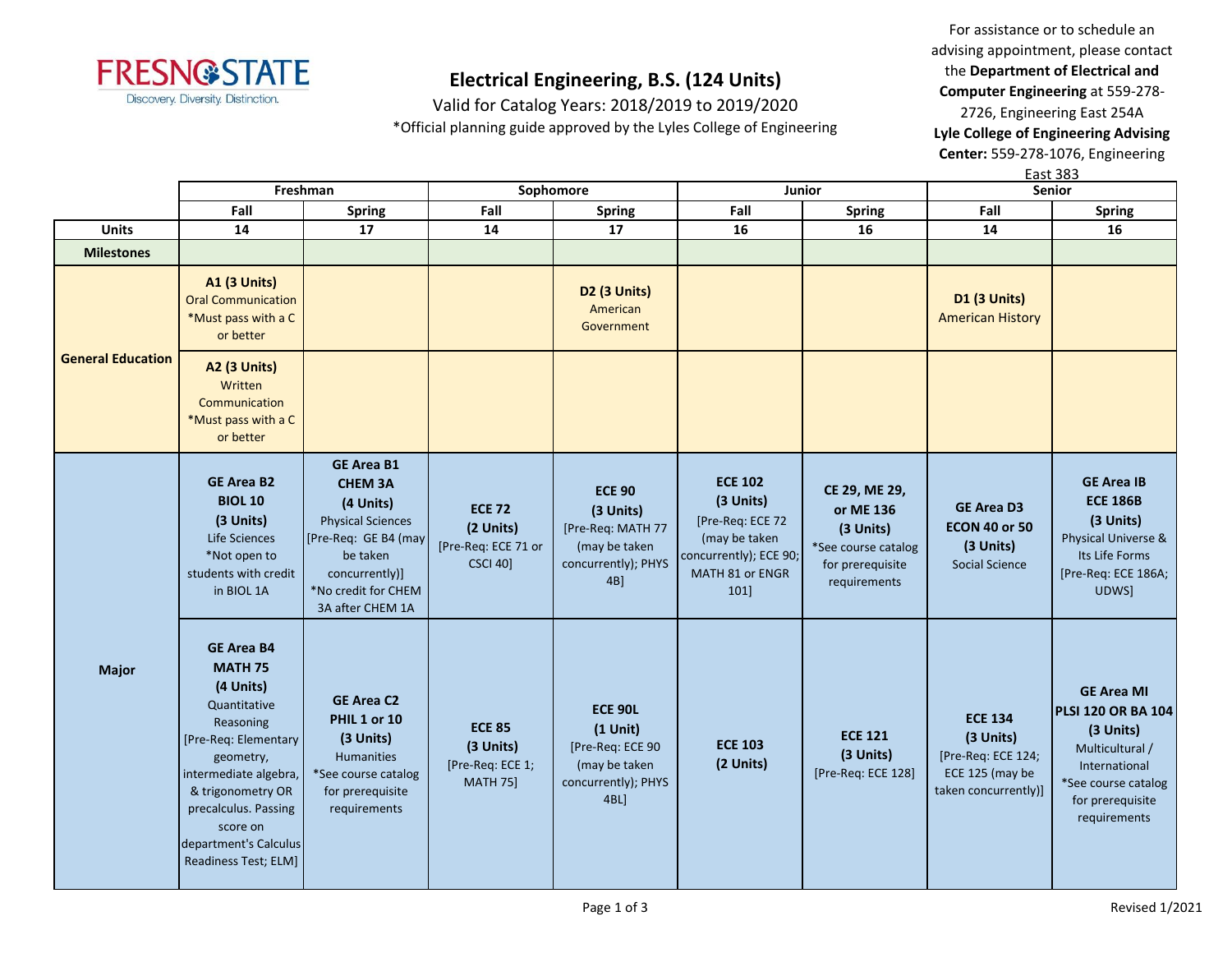

Valid for Catalog Years: 2018/2019 to 2019/2020 \*Official planning guide approved by the Lyles College of Engineering

For assistance or to schedule an advising appointment, please contact the **Department of Electrical and Computer Engineering** at 559-278- 2726, Engineering East 254A **Lyle College of Engineering Advising Center:** 559-278-1076, Engineering

East 383

|                          |                                                                                                                                                                                                                                                        | Freshman                                                                                                                                                                      | Sophomore<br><b>Junior</b>                                           |                                                                                                     | Senior                                                                                                                |                                                                                                    |                                                                                              |                                                                                                                                                            |
|--------------------------|--------------------------------------------------------------------------------------------------------------------------------------------------------------------------------------------------------------------------------------------------------|-------------------------------------------------------------------------------------------------------------------------------------------------------------------------------|----------------------------------------------------------------------|-----------------------------------------------------------------------------------------------------|-----------------------------------------------------------------------------------------------------------------------|----------------------------------------------------------------------------------------------------|----------------------------------------------------------------------------------------------|------------------------------------------------------------------------------------------------------------------------------------------------------------|
|                          | Fall                                                                                                                                                                                                                                                   | <b>Spring</b>                                                                                                                                                                 | Fall                                                                 | <b>Spring</b>                                                                                       | Fall                                                                                                                  | <b>Spring</b>                                                                                      | Fall                                                                                         | <b>Spring</b>                                                                                                                                              |
| <b>Units</b>             | 14                                                                                                                                                                                                                                                     | 17                                                                                                                                                                            | 14                                                                   | 17                                                                                                  | 16                                                                                                                    | 16                                                                                                 | 14                                                                                           | 16                                                                                                                                                         |
| <b>Milestones</b>        |                                                                                                                                                                                                                                                        |                                                                                                                                                                               |                                                                      |                                                                                                     |                                                                                                                       |                                                                                                    |                                                                                              |                                                                                                                                                            |
| <b>General Education</b> | <b>A1 (3 Units)</b><br><b>Oral Communication</b><br>*Must pass with a C<br>or better                                                                                                                                                                   |                                                                                                                                                                               |                                                                      | D <sub>2</sub> (3 Units)<br>American<br>Government                                                  |                                                                                                                       |                                                                                                    | <b>D1 (3 Units)</b><br><b>American History</b>                                               |                                                                                                                                                            |
|                          | <b>A2 (3 Units)</b><br>Written<br>Communication<br>*Must pass with a C<br>or better                                                                                                                                                                    |                                                                                                                                                                               |                                                                      |                                                                                                     |                                                                                                                       |                                                                                                    |                                                                                              |                                                                                                                                                            |
| <b>Major</b>             | <b>GE Area B2</b><br><b>BIOL 10</b><br>(3 Units)<br>Life Sciences<br>*Not open to<br>students with credit<br>in BIOL 1A                                                                                                                                | <b>GE Area B1</b><br><b>CHEM 3A</b><br>(4 Units)<br><b>Physical Sciences</b><br>[Pre-Req: GE B4 (may<br>be taken<br>concurrently)]<br>*No credit for CHEM<br>3A after CHEM 1A | <b>ECE 72</b><br>(2 Units)<br>[Pre-Req: ECE 71 or<br><b>CSCI 40]</b> | <b>ECE 90</b><br>(3 Units)<br>[Pre-Req: MATH 77<br>(may be taken<br>concurrently); PHYS<br>$4B$ ]   | <b>ECE 102</b><br>(3 Units)<br>[Pre-Req: ECE 72<br>(may be taken<br>concurrently); ECE 90;<br>MATH 81 or ENGR<br>101] | CE 29, ME 29,<br>or ME 136<br>(3 Units)<br>*See course catalog<br>for prerequisite<br>requirements | <b>GE Area D3</b><br><b>ECON 40 or 50</b><br>(3 Units)<br>Social Science                     | <b>GE Area IB</b><br><b>ECE 186B</b><br>(3 Units)<br>Physical Universe &<br>Its Life Forms<br>[Pre-Req: ECE 186A;<br>UDWS]                                 |
|                          | <b>GE Area B4</b><br><b>MATH 75</b><br>(4 Units)<br>Quantitative<br>Reasoning<br>[Pre-Req: Elementary]<br>geometry,<br>intermediate algebra,<br>& trigonometry OR<br>precalculus. Passing<br>score on<br>department's Calculus<br>Readiness Test; ELM] | <b>GE Area C2</b><br>PHIL 1 or 10<br>(3 Units)<br><b>Humanities</b><br>*See course catalog<br>for prerequisite<br>requirements                                                | <b>ECE 85</b><br>(3 Units)<br>[Pre-Req: ECE 1;<br><b>MATH 75]</b>    | <b>ECE 90L</b><br>$(1$ Unit)<br>[Pre-Req: ECE 90<br>(may be taken<br>concurrently); PHYS<br>$4BL$ ] | <b>ECE 103</b><br>(2 Units)                                                                                           | <b>ECE 121</b><br>(3 Units)<br>[Pre-Req: ECE 128]                                                  | <b>ECE 134</b><br>(3 Units)<br>[Pre-Req: ECE 124;<br>ECE 125 (may be<br>taken concurrently)] | <b>GE Area MI</b><br><b>PLSI 120 OR BA 104</b><br>(3 Units)<br>Multicultural /<br>International<br>*See course catalog<br>for prerequisite<br>requirements |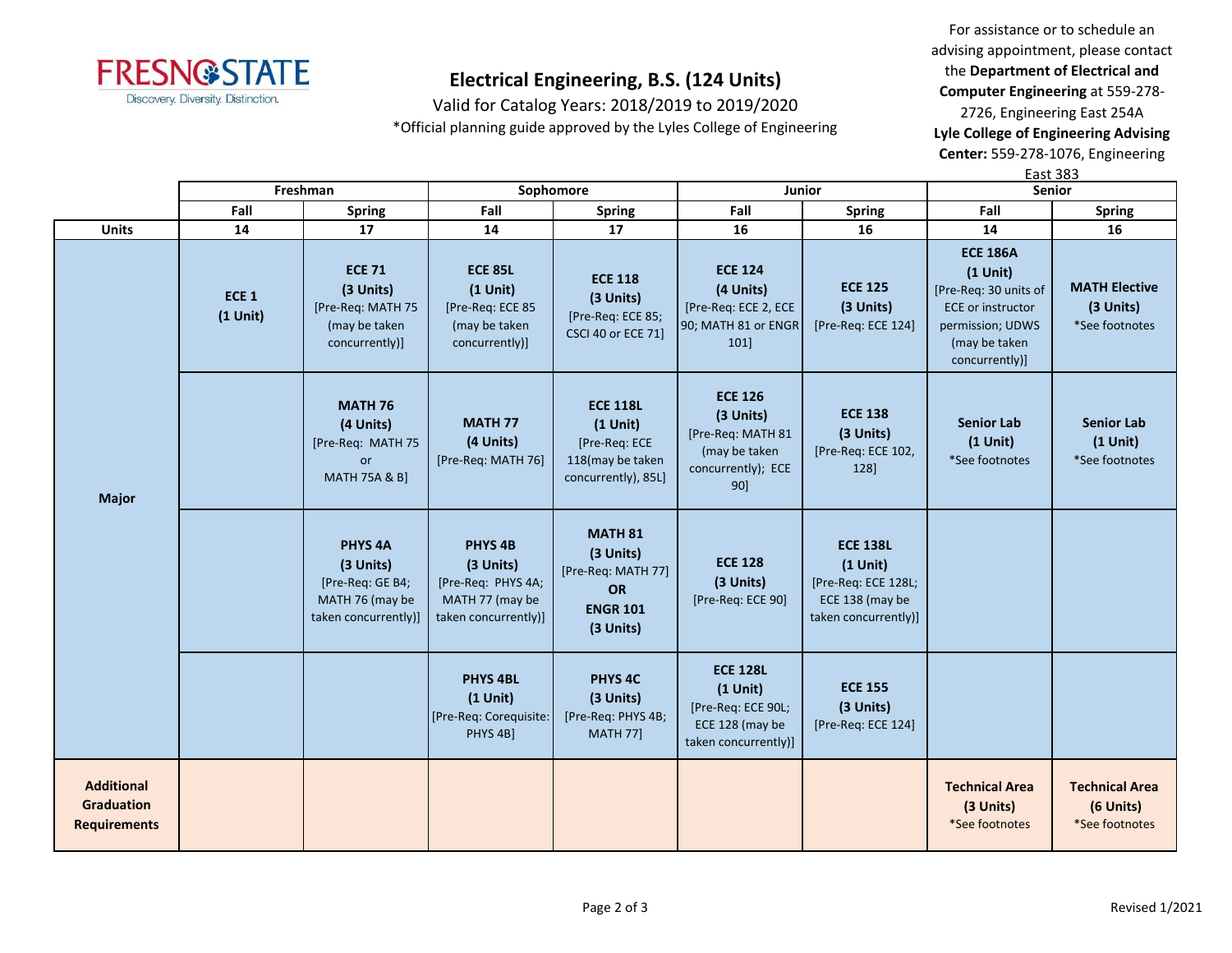

Valid for Catalog Years: 2018/2019 to 2019/2020

\*Official planning guide approved by the Lyles College of Engineering

For assistance or to schedule an advising appointment, please contact the **Department of Electrical and Computer Engineering** at 559-278- 2726, Engineering East 254A **Lyle College of Engineering Advising** 

**Center:** 559-278-1076, Engineering East 383

|                                                               | Freshman                       |                                                                                            | Sophomore                                                                                        |                                                                                           | Junior                                                                                         |                                                                                                 | <b>Senior</b>                                                                                                                             |                                                      |
|---------------------------------------------------------------|--------------------------------|--------------------------------------------------------------------------------------------|--------------------------------------------------------------------------------------------------|-------------------------------------------------------------------------------------------|------------------------------------------------------------------------------------------------|-------------------------------------------------------------------------------------------------|-------------------------------------------------------------------------------------------------------------------------------------------|------------------------------------------------------|
|                                                               | Fall<br><b>Spring</b>          |                                                                                            | Fall                                                                                             | <b>Spring</b>                                                                             | Fall                                                                                           | Spring                                                                                          | Fall                                                                                                                                      | <b>Spring</b>                                        |
| <b>Units</b>                                                  | 14                             | 17                                                                                         | 14                                                                                               | 17                                                                                        | 16                                                                                             | 16                                                                                              | 14                                                                                                                                        | 16                                                   |
|                                                               | ECE <sub>1</sub><br>$(1$ Unit) | <b>ECE 71</b><br>(3 Units)<br>[Pre-Req: MATH 75<br>(may be taken<br>concurrently)]         | <b>ECE 85L</b><br>$(1$ Unit)<br>[Pre-Req: ECE 85<br>(may be taken<br>concurrently)]              | <b>ECE 118</b><br>(3 Units)<br>[Pre-Req: ECE 85;<br><b>CSCI 40 or ECE 71]</b>             | <b>ECE 124</b><br>(4 Units)<br>[Pre-Req: ECE 2, ECE<br>90; MATH 81 or ENGR<br>101]             | <b>ECE 125</b><br>(3 Units)<br>[Pre-Req: ECE 124]                                               | <b>ECE 186A</b><br>$(1$ Unit)<br>[Pre-Req: 30 units of<br><b>ECE or instructor</b><br>permission; UDWS<br>(may be taken<br>concurrently)] | <b>MATH Elective</b><br>(3 Units)<br>*See footnotes  |
| <b>Major</b>                                                  |                                | <b>MATH 76</b><br>(4 Units)<br>[Pre-Req: MATH 75<br>or<br><b>MATH 75A &amp; B]</b>         | <b>MATH 77</b><br>(4 Units)<br>[Pre-Req: MATH 76]                                                | <b>ECE 118L</b><br>$(1$ Unit)<br>[Pre-Req: ECE<br>118(may be taken<br>concurrently), 85L] | <b>ECE 126</b><br>(3 Units)<br>[Pre-Req: MATH 81<br>(may be taken<br>concurrently); ECE<br>90] | <b>ECE 138</b><br>(3 Units)<br>[Pre-Req: ECE 102,<br>128]                                       | <b>Senior Lab</b><br>$(1$ Unit)<br>*See footnotes                                                                                         | <b>Senior Lab</b><br>$(1$ Unit)<br>*See footnotes    |
|                                                               |                                | <b>PHYS 4A</b><br>(3 Units)<br>[Pre-Req: GE B4;<br>MATH 76 (may be<br>taken concurrently)] | PHYS <sub>4B</sub><br>(3 Units)<br>[Pre-Req: PHYS 4A;<br>MATH 77 (may be<br>taken concurrently)] | <b>MATH 81</b><br>(3 Units)<br>[Pre-Req: MATH 77]<br>OR<br><b>ENGR 101</b><br>(3 Units)   | <b>ECE 128</b><br>(3 Units)<br>[Pre-Req: ECE 90]                                               | <b>ECE 138L</b><br>$(1$ Unit)<br>[Pre-Req: ECE 128L;<br>ECE 138 (may be<br>taken concurrently)] |                                                                                                                                           |                                                      |
|                                                               |                                |                                                                                            | <b>PHYS 4BL</b><br>$(1$ Unit)<br>[Pre-Req: Corequisite:<br>PHYS 4B]                              | <b>PHYS 4C</b><br>(3 Units)<br>[Pre-Req: PHYS 4B;<br><b>MATH 77]</b>                      | <b>ECE 128L</b><br>$(1$ Unit)<br>[Pre-Req: ECE 90L;<br>ECE 128 (may be<br>taken concurrently)] | <b>ECE 155</b><br>(3 Units)<br>[Pre-Req: ECE 124]                                               |                                                                                                                                           |                                                      |
| <b>Additional</b><br><b>Graduation</b><br><b>Requirements</b> |                                |                                                                                            |                                                                                                  |                                                                                           |                                                                                                |                                                                                                 | <b>Technical Area</b><br>(3 Units)<br>*See footnotes                                                                                      | <b>Technical Area</b><br>(6 Units)<br>*See footnotes |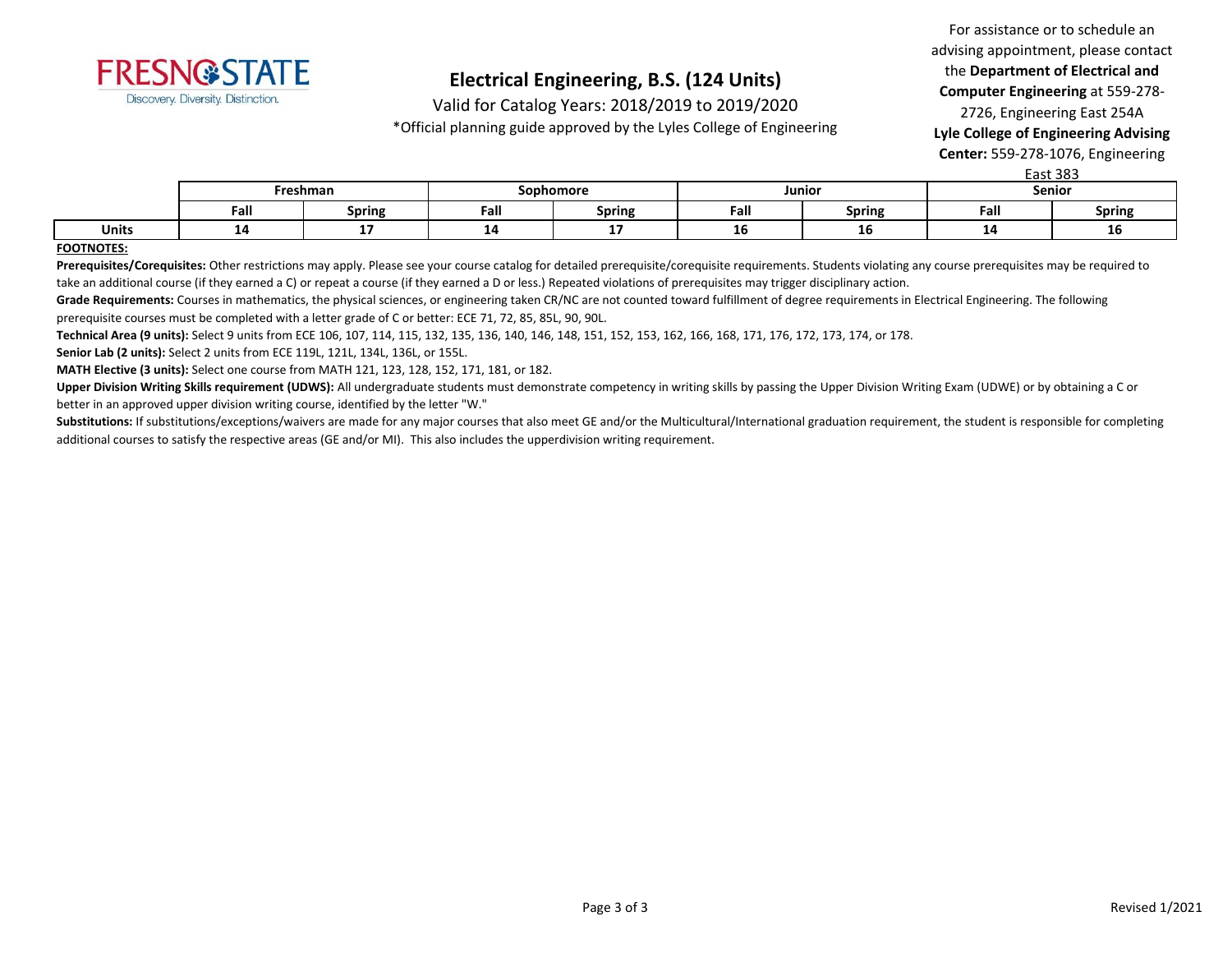

Valid for Catalog Years: 2018/2019 to 2019/2020

\*Official planning guide approved by the Lyles College of Engineering

For assistance or to schedule an advising appointment, please contact the **Department of Electrical and Computer Engineering** at 559-278- 2726, Engineering East 254A **Lyle College of Engineering Advising** 

**Center:** 559-278-1076, Engineering East 383

|              |      | Freshman      | Sophomore |               | Junior |               | LdSL 303<br>Senior |               |
|--------------|------|---------------|-----------|---------------|--------|---------------|--------------------|---------------|
|              | Fall | <b>Spring</b> | Fall      | <b>Spring</b> | Fall   | <b>Spring</b> | Fall               | <b>Spring</b> |
| <b>Units</b> | --   |               |           |               | тo     | TО            | - 7                | TО            |

#### **FOOTNOTES:**

Prerequisites/Corequisites: Other restrictions may apply. Please see your course catalog for detailed prerequisite/corequisite requirements. Students violating any course prerequisites may be required to take an additional course (if they earned a C) or repeat a course (if they earned a D or less.) Repeated violations of prerequisites may trigger disciplinary action.

Grade Requirements: Courses in mathematics, the physical sciences, or engineering taken CR/NC are not counted toward fulfillment of degree requirements in Electrical Engineering. The following prerequisite courses must be completed with a letter grade of C or better: ECE 71, 72, 85, 85L, 90, 90L.

**Technical Area (9 units):** Select 9 units from ECE 106, 107, 114, 115, 132, 135, 136, 140, 146, 148, 151, 152, 153, 162, 166, 168, 171, 176, 172, 173, 174, or 178.

**Senior Lab (2 units):** Select 2 units from ECE 119L, 121L, 134L, 136L, or 155L.

**MATH Elective (3 units):** Select one course from MATH 121, 123, 128, 152, 171, 181, or 182.

**Upper Division Writing Skills requirement (UDWS):** All undergraduate students must demonstrate competency in writing skills by passing the Upper Division Writing Exam (UDWE) or by obtaining a C or better in an approved upper division writing course, identified by the letter "W."

Substitutions: If substitutions/exceptions/waivers are made for any major courses that also meet GE and/or the Multicultural/International graduation requirement, the student is responsible for completing additional courses to satisfy the respective areas (GE and/or MI). This also includes the upperdivision writing requirement.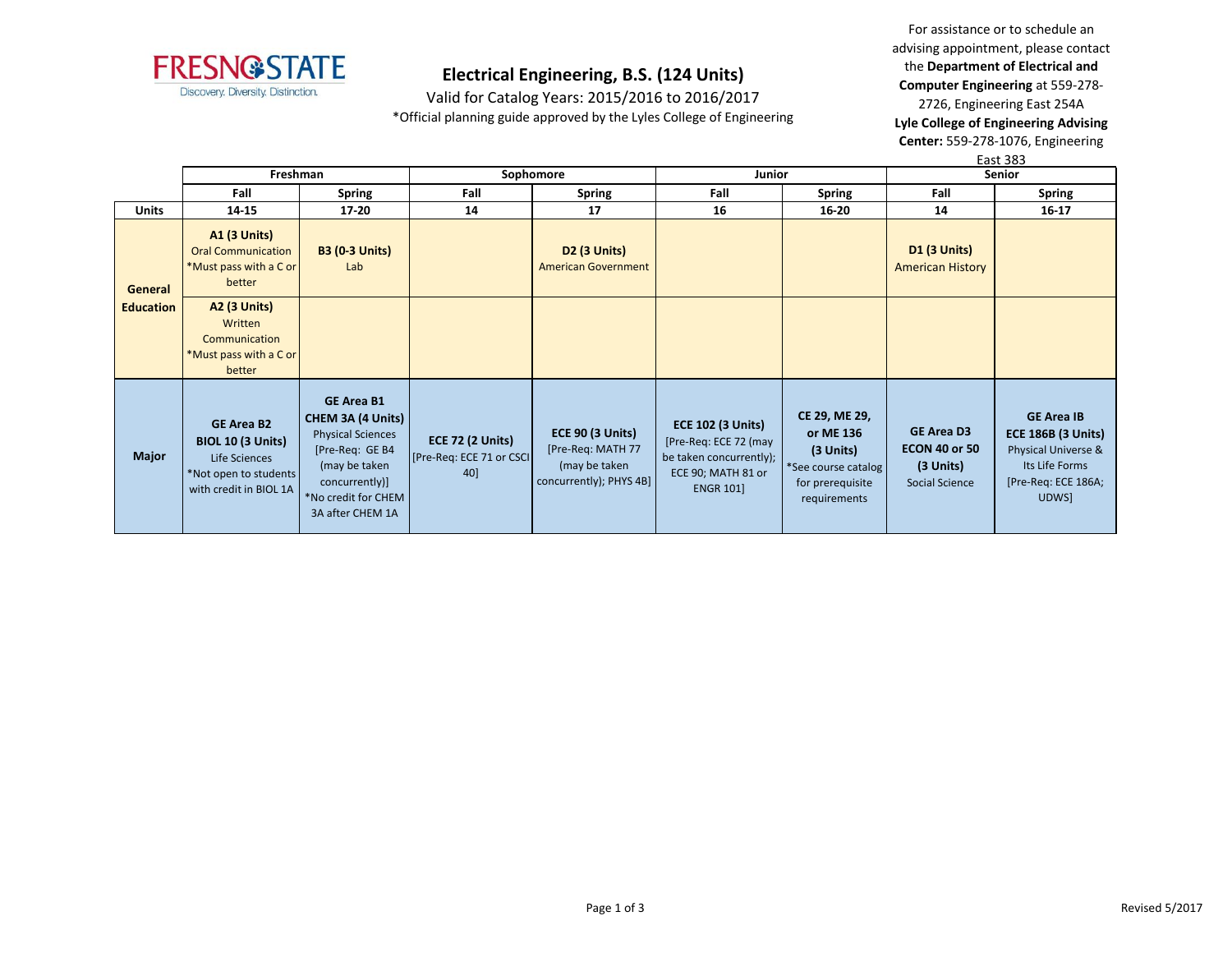

Valid for Catalog Years: 2015/2016 to 2016/2017 \*Official planning guide approved by the Lyles College of Engineering

For assistance or to schedule an advising appointment, please contact the **Department of Electrical and Computer Engineering** at 559-278- 2726, Engineering East 254A **Lyle College of Engineering Advising Center:** 559-278-1076, Engineering

|                  |                                                                                                                   |                                                                                                                                                                     |                                                             |                                                                                          |                                                                                                                        |                                                                                                    |                                                                          | East 383                                                                                                                |
|------------------|-------------------------------------------------------------------------------------------------------------------|---------------------------------------------------------------------------------------------------------------------------------------------------------------------|-------------------------------------------------------------|------------------------------------------------------------------------------------------|------------------------------------------------------------------------------------------------------------------------|----------------------------------------------------------------------------------------------------|--------------------------------------------------------------------------|-------------------------------------------------------------------------------------------------------------------------|
|                  | Freshman                                                                                                          |                                                                                                                                                                     | Sophomore                                                   |                                                                                          | Junior                                                                                                                 |                                                                                                    | Senior                                                                   |                                                                                                                         |
|                  | Fall                                                                                                              | <b>Spring</b>                                                                                                                                                       | Fall                                                        | <b>Spring</b>                                                                            | Fall                                                                                                                   | <b>Spring</b>                                                                                      | Fall                                                                     | <b>Spring</b>                                                                                                           |
| <b>Units</b>     | 14-15                                                                                                             | 17-20                                                                                                                                                               | 14                                                          | 17                                                                                       | 16                                                                                                                     | 16-20                                                                                              | 14                                                                       | 16-17                                                                                                                   |
| General          | <b>A1 (3 Units)</b><br><b>Oral Communication</b><br>*Must pass with a C or<br>better                              | <b>B3 (0-3 Units)</b><br>Lab                                                                                                                                        |                                                             | <b>D2 (3 Units)</b><br><b>American Government</b>                                        |                                                                                                                        |                                                                                                    | D1 (3 Units)<br><b>American History</b>                                  |                                                                                                                         |
| <b>Education</b> | <b>A2 (3 Units)</b><br>Written<br>Communication<br>*Must pass with a C or<br>better                               |                                                                                                                                                                     |                                                             |                                                                                          |                                                                                                                        |                                                                                                    |                                                                          |                                                                                                                         |
| <b>Major</b>     | <b>GE Area B2</b><br><b>BIOL 10 (3 Units)</b><br>Life Sciences<br>*Not open to students<br>with credit in BIOL 1A | <b>GE Area B1</b><br>CHEM 3A (4 Units)<br><b>Physical Sciences</b><br>[Pre-Req: GE B4<br>(may be taken<br>concurrently)]<br>*No credit for CHEM<br>3A after CHEM 1A | <b>ECE 72 (2 Units)</b><br>[Pre-Req: ECE 71 or CSCI]<br>40] | <b>ECE 90 (3 Units)</b><br>[Pre-Req: MATH 77<br>(may be taken<br>concurrently); PHYS 4B] | <b>ECE 102 (3 Units)</b><br>[Pre-Req: ECE 72 (may<br>be taken concurrently);<br>ECE 90; MATH 81 or<br><b>ENGR 101]</b> | CE 29, ME 29,<br>or ME 136<br>(3 Units)<br>*See course catalog<br>for prerequisite<br>requirements | <b>GE Area D3</b><br><b>ECON 40 or 50</b><br>(3 Units)<br>Social Science | <b>GE Area IB</b><br><b>ECE 186B (3 Units)</b><br>Physical Universe &<br>Its Life Forms<br>[Pre-Req: ECE 186A;<br>UDWS] |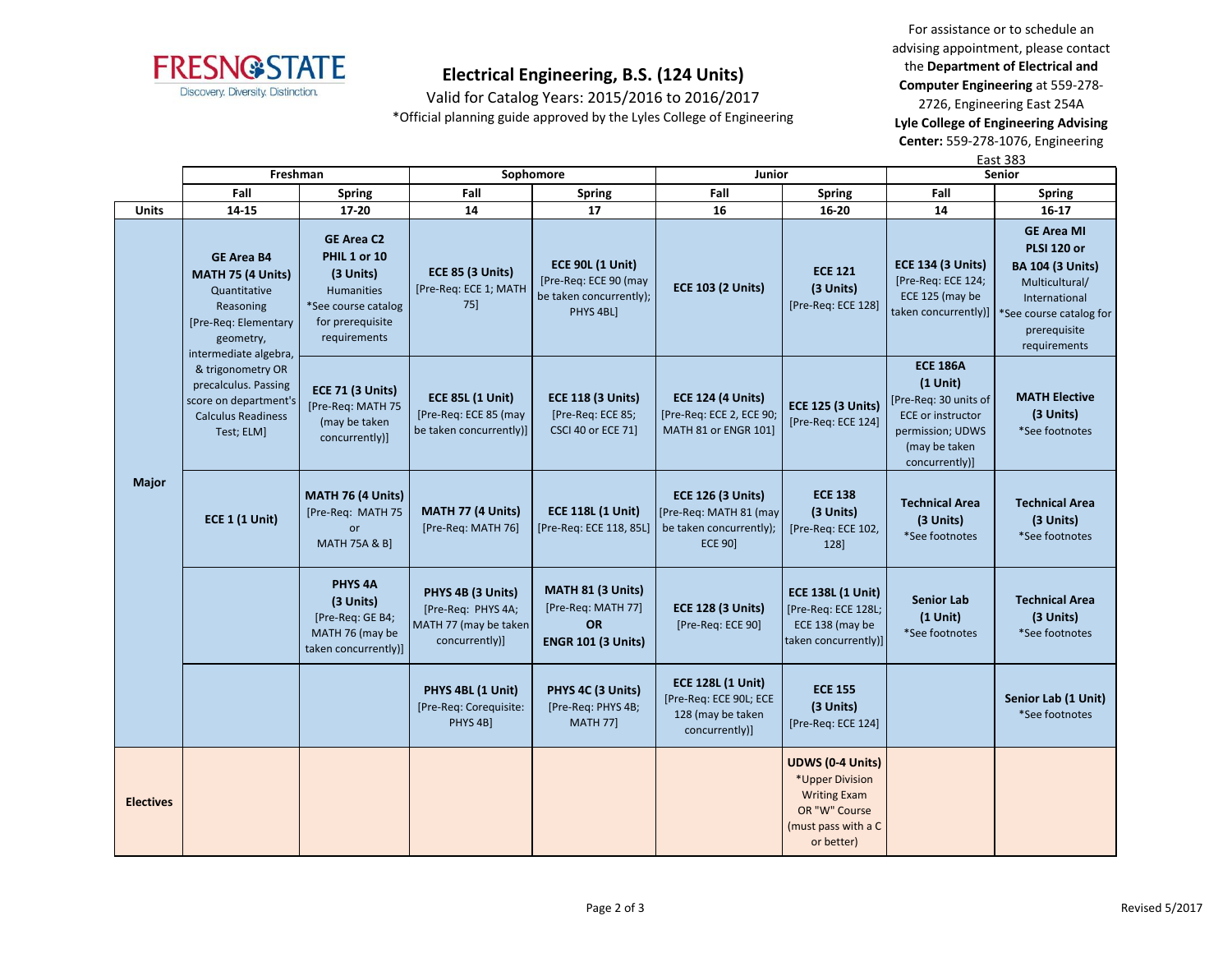

Valid for Catalog Years: 2015/2016 to 2016/2017 \*Official planning guide approved by the Lyles College of Engineering

For assistance or to schedule an advising appointment, please contact the **Department of Electrical and Computer Engineering** at 559-278- 2726, Engineering East 254A

**Lyle College of Engineering Advising Center:** 559-278-1076, Engineering

|                  |                                                                                                                                          |                                                                                                                                |                                                                                    |                                                                                          |                                                                                                  |                                                                                                                         | <b>East 383</b>                                                                                                                           |                                                                                                                                                                                         |
|------------------|------------------------------------------------------------------------------------------------------------------------------------------|--------------------------------------------------------------------------------------------------------------------------------|------------------------------------------------------------------------------------|------------------------------------------------------------------------------------------|--------------------------------------------------------------------------------------------------|-------------------------------------------------------------------------------------------------------------------------|-------------------------------------------------------------------------------------------------------------------------------------------|-----------------------------------------------------------------------------------------------------------------------------------------------------------------------------------------|
|                  | Freshman                                                                                                                                 |                                                                                                                                |                                                                                    | Sophomore                                                                                | Junior                                                                                           |                                                                                                                         | <b>Senior</b>                                                                                                                             |                                                                                                                                                                                         |
|                  | Fall                                                                                                                                     | Spring                                                                                                                         | Fall                                                                               | <b>Spring</b>                                                                            | Fall                                                                                             | Spring                                                                                                                  | Fall                                                                                                                                      | <b>Spring</b>                                                                                                                                                                           |
| <b>Units</b>     | 14-15                                                                                                                                    | 17-20                                                                                                                          | 14                                                                                 | 17                                                                                       | 16                                                                                               | 16-20                                                                                                                   | 14                                                                                                                                        | $16 - 17$                                                                                                                                                                               |
|                  | <b>GE Area B4</b><br><b>MATH 75 (4 Units)</b><br>Quantitative<br>Reasoning<br>[Pre-Req: Elementary<br>geometry,<br>intermediate algebra, | <b>GE Area C2</b><br>PHIL 1 or 10<br>(3 Units)<br><b>Humanities</b><br>*See course catalog<br>for prerequisite<br>requirements | <b>ECE 85 (3 Units)</b><br>[Pre-Req: ECE 1; MATH<br>75]                            | <b>ECE 90L (1 Unit)</b><br>[Pre-Req: ECE 90 (may<br>be taken concurrently);<br>PHYS 4BL] | <b>ECE 103 (2 Units)</b>                                                                         | <b>ECE 121</b><br>(3 Units)<br>[Pre-Req: ECE 128]                                                                       | <b>ECE 134 (3 Units)</b><br>[Pre-Req: ECE 124;<br>ECE 125 (may be                                                                         | <b>GE Area MI</b><br><b>PLSI 120 or</b><br><b>BA 104 (3 Units)</b><br>Multicultural/<br>International<br>taken concurrently)]   *See course catalog for<br>prerequisite<br>requirements |
|                  | & trigonometry OR<br>precalculus. Passing<br>score on department's<br><b>Calculus Readiness</b><br>Test; ELM]                            | <b>ECE 71 (3 Units)</b><br>[Pre-Req: MATH 75<br>(may be taken<br>concurrently)]                                                | <b>ECE 85L (1 Unit)</b><br>[Pre-Req: ECE 85 (may<br>be taken concurrently)]        | <b>ECE 118 (3 Units)</b><br>[Pre-Req: ECE 85;<br><b>CSCI 40 or ECE 71]</b>               | <b>ECE 124 (4 Units)</b><br>[Pre-Req: ECE 2, ECE 90;<br>MATH 81 or ENGR 101                      | <b>ECE 125 (3 Units)</b><br>[Pre-Req: ECE 124]                                                                          | <b>ECE 186A</b><br>$(1$ Unit)<br>[Pre-Req: 30 units of<br><b>ECE or instructor</b><br>permission; UDWS<br>(may be taken<br>concurrently)] | <b>MATH Elective</b><br>(3 Units)<br>*See footnotes                                                                                                                                     |
| Major            | <b>ECE 1 (1 Unit)</b>                                                                                                                    | MATH 76 (4 Units)<br>[Pre-Req: MATH 75<br>or<br><b>MATH 75A &amp; B]</b>                                                       | MATH 77 (4 Units)<br>[Pre-Req: MATH 76]                                            | <b>ECE 118L (1 Unit)</b><br>[Pre-Req: ECE 118, 85L]                                      | <b>ECE 126 (3 Units)</b><br>[Pre-Req: MATH 81 (may)<br>be taken concurrently);<br><b>ECE 90]</b> | <b>ECE 138</b><br>(3 Units)<br>[Pre-Req: ECE 102,<br>128]                                                               | <b>Technical Area</b><br>(3 Units)<br>*See footnotes                                                                                      | <b>Technical Area</b><br>(3 Units)<br>*See footnotes                                                                                                                                    |
|                  |                                                                                                                                          | <b>PHYS 4A</b><br>(3 Units)<br>[Pre-Req: GE B4;<br>MATH 76 (may be<br>taken concurrently)]                                     | PHYS 4B (3 Units)<br>[Pre-Req: PHYS 4A;<br>MATH 77 (may be taken<br>concurrently)] | MATH 81 (3 Units)<br>[Pre-Req: MATH 77]<br><b>OR</b><br><b>ENGR 101 (3 Units)</b>        | <b>ECE 128 (3 Units)</b><br>[Pre-Req: ECE 90]                                                    | <b>ECE 138L (1 Unit)</b><br>[Pre-Req: ECE 128L;<br>ECE 138 (may be<br>taken concurrently)]                              | <b>Senior Lab</b><br>$(1$ Unit)<br>*See footnotes                                                                                         | <b>Technical Area</b><br>(3 Units)<br>*See footnotes                                                                                                                                    |
|                  |                                                                                                                                          |                                                                                                                                | PHYS 4BL (1 Unit)<br>[Pre-Req: Corequisite:<br>PHYS 4B]                            | PHYS 4C (3 Units)<br>[Pre-Req: PHYS 4B;<br><b>MATH 77]</b>                               | <b>ECE 128L (1 Unit)</b><br>[Pre-Req: ECE 90L; ECE<br>128 (may be taken<br>concurrently)]        | <b>ECE 155</b><br>(3 Units)<br>[Pre-Req: ECE 124]                                                                       |                                                                                                                                           | Senior Lab (1 Unit)<br>*See footnotes                                                                                                                                                   |
| <b>Electives</b> |                                                                                                                                          |                                                                                                                                |                                                                                    |                                                                                          |                                                                                                  | <b>UDWS (0-4 Units)</b><br>*Upper Division<br><b>Writing Exam</b><br>OR "W" Course<br>(must pass with a C<br>or better) |                                                                                                                                           |                                                                                                                                                                                         |